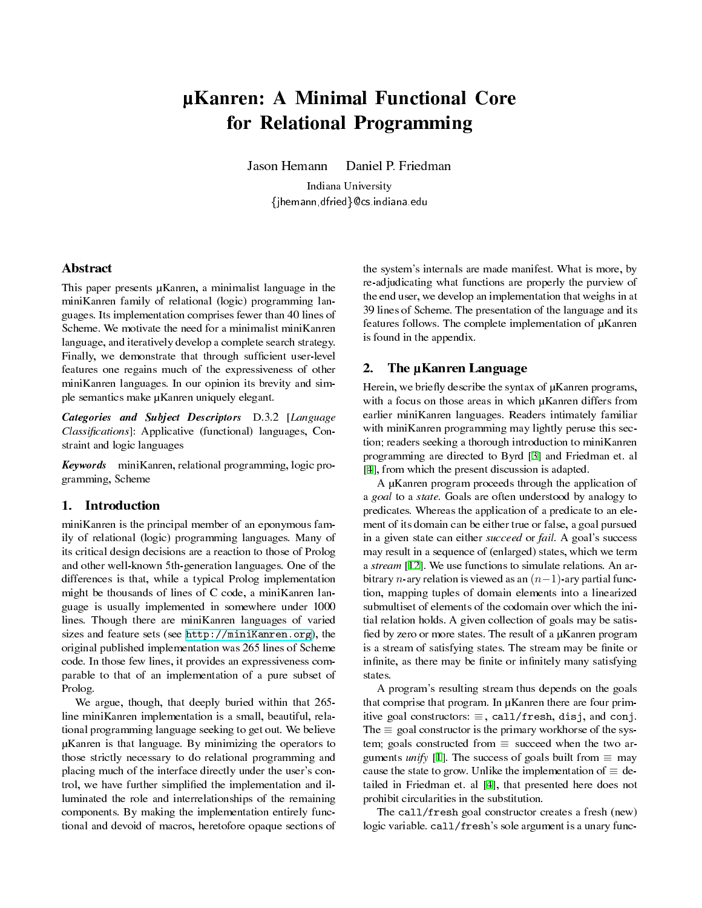# µKanren: A Minimal Functional Core for Relational Programming

Jason Hemann Daniel P. Friedman Indiana University

{jhemann,dfried}@cs.indiana.edu

# Abstract

This paper presents µKanren, a minimalist language in the miniKanren family of relational (logic) programming languages. Its implementation comprises fewer than 40 lines of Scheme. We motivate the need for a minimalist miniKanren language, and iteratively develop a complete search strategy. Finally, we demonstrate that through sufficient user-level features one regains much of the expressiveness of other miniKanren languages. In our opinion its brevity and simple semantics make µKanren uniquely elegant.

Categories and Subject Descriptors D.3.2 [Language Classifications]: Applicative (functional) languages, Constraint and logic languages

Keywords miniKanren, relational programming, logic programming, Scheme

#### 1. Introduction

miniKanren is the principal member of an eponymous family of relational (logic) programming languages. Many of its critical design decisions are a reaction to those of Prolog and other well-known 5th-generation languages. One of the differences is that, while a typical Prolog implementation might be thousands of lines of C code, a miniKanren language is usually implemented in somewhere under 1000 lines. Though there are miniKanren languages of varied sizes and feature sets (see [http://miniKanren.org\)](http://miniKanren.org), the original published implementation was 265 lines of Scheme code. In those few lines, it provides an expressiveness comparable to that of an implementation of a pure subset of Prolog.

We argue, though, that deeply buried within that 265 line miniKanren implementation is a small, beautiful, relational programming language seeking to get out. We believe µKanren is that language. By minimizing the operators to those strictly necessary to do relational programming and placing much of the interface directly under the user's control, we have further simplified the implementation and illuminated the role and interrelationships of the remaining components. By making the implementation entirely functional and devoid of macros, heretofore opaque sections of

the system's internals are made manifest. What is more, by re-adjudicating what functions are properly the purview of the end user, we develop an implementation that weighs in at 39 lines of Scheme. The presentation of the language and its features follows. The complete implementation of µKanren is found in the appendix.

# <span id="page-0-0"></span>2. The µKanren Language

Herein, we briefly describe the syntax of  $\mu$ Kanren programs, with a focus on those areas in which  $\mu$ Kanren differs from earlier miniKanren languages. Readers intimately familiar with miniKanren programming may lightly peruse this section; readers seeking a thorough introduction to miniKanren programming are directed to Byrd [\[3](#page-7-0)] and Friedman et. al [\[4](#page-7-1)], from which the present discussion is adapted.

A µKanren program proceeds through the application of a goal to a state. Goals are often understood by analogy to predicates. Whereas the application of a predicate to an element of its domain can be either true or false, a goal pursued in a given state can either *succeed* or *fail*. A goal's success may result in a sequence of (enlarged) states, which we term a stream [\[12](#page-7-2)]. We use functions to simulate relations. An arbitrary *n*-ary relation is viewed as an (*n−*1)-ary partial function, mapping tuples of domain elements into a linearized submultiset of elements of the codomain over which the initial relation holds. A given collection of goals may be satis fied by zero or more states. The result of a µKanren program is a stream of satisfying states. The stream may be finite or infinite, as there may be finite or infinitely many satisfying states.

A program's resulting stream thus depends on the goals that comprise that program. In µKanren there are four primitive goal constructors: *≡* , call/fresh, disj, and conj. The *≡* goal constructor is the primary workhorse of the system; goals constructed from *≡* succeed when the two arguments *unify* [[1\]](#page-7-3). The success of goals built from  $\equiv$  may cause the state to grow. Unlike the implementation of  $\equiv$  detailed in Friedman et. al [[4\]](#page-7-1), that presented here does not prohibit circularities in the substitution.

The call/fresh goal constructor creates a fresh (new) logic variable. call/fresh's sole argument is a unary func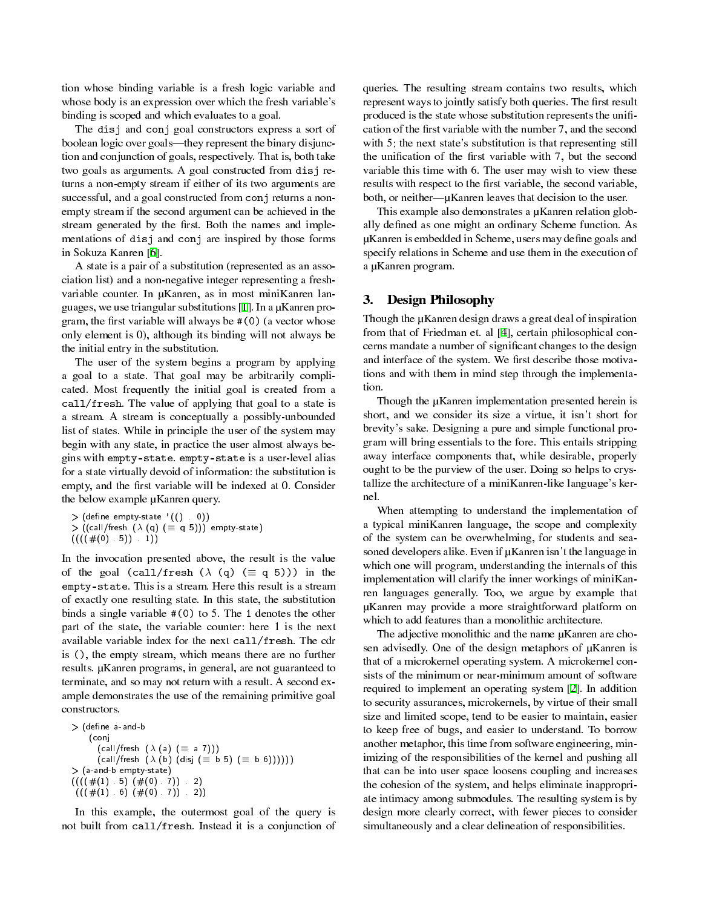tion whose binding variable is a fresh logic variable and whose body is an expression over which the fresh variable's binding is scoped and which evaluates to a goal.

The disj and conj goal constructors express a sort of boolean logic over goals—they represent the binary disjunction and conjunction of goals, respectively. That is, both take two goals as arguments. A goal constructed from disj returns a non-empty stream if either of its two arguments are successful, and a goal constructed from conj returns a nonempty stream if the second argument can be achieved in the stream generated by the first. Both the names and implementations of disj and conj are inspired by those forms in Sokuza Kanren [\[6](#page-7-4)].

A state is a pair of a substitution (represented as an association list) and a non-negative integer representing a freshvariable counter. In µKanren, as in most miniKanren languages, we use triangular substitutions [\[1](#page-7-3)]. In a µKanren program, the first variable will always be #(0) (a vector whose only element is 0), although its binding will not always be the initial entry in the substitution.

The user of the system begins a program by applying a goal to a state. That goal may be arbitrarily complicated. Most frequently the initial goal is created from a call/fresh. The value of applying that goal to a state is a stream. A stream is conceptually a possibly-unbounded list of states. While in principle the user of the system may begin with any state, in practice the user almost always begins with empty-state. empty-state is a user-level alias for a state virtually devoid of information: the substitution is empty, and the first variable will be indexed at 0. Consider the below example µKanren query.

 $>$  (define empty-state  $($   $($   $)$   $)$ ) > ((call/fresh (*λ* (q) (*≡* q 5))) empty-state)  $(((#(0) 5)) 1)$ 

In the invocation presented above, the result is the value of the goal (call/fresh  $(\lambda$  (q) ( $\equiv$  q 5))) in the empty-state. This is a stream. Here this result is a stream of exactly one resulting state. In this state, the substitution binds a single variable #(0) to 5. The 1 denotes the other part of the state, the variable counter: here 1 is the next available variable index for the next call/fresh. The cdr is (), the empty stream, which means there are no further results. µKanren programs, in general, are not guaranteed to terminate, and so may not return with a result. A second example demonstrates the use of the remaining primitive goal constructors.

 $>$  (define a-and-b (conj (call/fresh (*λ* (a) (*≡* a 7))) (call/fresh (*λ* (b) (disj (*≡* b 5) (*≡* b 6)))))) > (a-and-b empty-state)  $(((((#(1) 5) (* (0) 7)) 2)$  $(((#(1) 6) (#(0) 7)) 2))$ 

In this example, the outermost goal of the query is not built from call/fresh. Instead it is a conjunction of

queries. The resulting stream contains two results, which represent ways to jointly satisfy both queries. The first result produced is the state whose substitution represents the unification of the first variable with the number 7, and the second with 5; the next state's substitution is that representing still the unification of the first variable with 7, but the second variable this time with 6. The user may wish to view these results with respect to the first variable, the second variable, both, or neither— $\mu$ Kanren leaves that decision to the user.

This example also demonstrates a µKanren relation globally defined as one might an ordinary Scheme function. As µKanren is embedded in Scheme, users may define goals and specify relations in Scheme and use them in the execution of a µKanren program.

# 3. Design Philosophy

Though the µKanren design draws a great deal of inspiration from that of Friedman et. al [\[4](#page-7-1)], certain philosophical concerns mandate a number of significant changes to the design and interface of the system. We first describe those motivations and with them in mind step through the implementation.

Though the µKanren implementation presented herein is short, and we consider its size a virtue, it isn't short for brevity's sake. Designing a pure and simple functional program will bring essentials to the fore. This entails stripping away interface components that, while desirable, properly ought to be the purview of the user. Doing so helps to crystallize the architecture of a miniKanren-like language's kernel.

When attempting to understand the implementation of a typical miniKanren language, the scope and complexity of the system can be overwhelming, for students and seasoned developers alike. Even if µKanren isn't the language in which one will program, understanding the internals of this implementation will clarify the inner workings of miniKanren languages generally. Too, we argue by example that µKanren may provide a more straightforward platform on which to add features than a monolithic architecture.

The adjective monolithic and the name  $\mu$ Kanren are chosen advisedly. One of the design metaphors of µKanren is that of a microkernel operating system. A microkernel consists of the minimum or near-minimum amount of software required to implement an operating system [[2\]](#page-7-5). In addition to security assurances, microkernels, by virtue of their small size and limited scope, tend to be easier to maintain, easier to keep free of bugs, and easier to understand. To borrow another metaphor, this time from software engineering, minimizing of the responsibilities of the kernel and pushing all that can be into user space loosens coupling and increases the cohesion of the system, and helps eliminate inappropriate intimacy among submodules. The resulting system is by design more clearly correct, with fewer pieces to consider simultaneously and a clear delineation of responsibilities.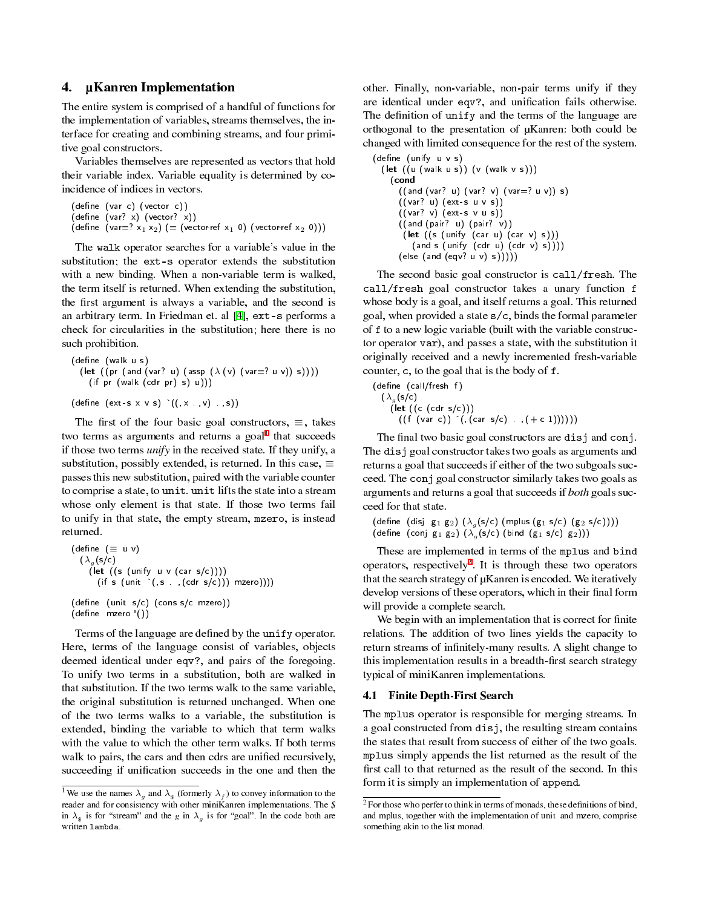# <span id="page-2-3"></span>4. µKanren Implementation

The entire system is comprised of a handful of functions for the implementation of variables, streams themselves, the interface for creating and combining streams, and four primitive goal constructors.

Variables themselves are represented as vectors that hold their variable index. Variable equality is determined by coincidence of indices in vectors.

```
(define (var c) (vector c))
(\text{define } (\text{var? x}) (\text{vector? x}))(define (var=? x_1 x_2) (= (vector-ref x_1 0) (vector-ref x_2 0)))
```
The walk operator searches for a variable's value in the substitution; the ext-s operator extends the substitution with a new binding. When a non-variable term is walked, the term itself is returned. When extending the substitution, the first argument is always a variable, and the second is an arbitrary term. In Friedman et. al [[4\]](#page-7-1), ext-s performs a check for circularities in the substitution; here there is no such prohibition.

```
(define (walk u s)
  (let ((pr (and (var? u) (assp (λ (v) (var=? u v)) s))))
    (if pr (walk (cdr pr) s) u)))
(\text{define } (\text{ext-s x v s}) ((, x, y, y, s))
```
The first of the four basic goal constructors,  $\equiv$ , takes two terms as arguments and returns a goal<sup>[1](#page-2-0)</sup> that succeeds if those two terms *unify* in the received state. If they unify, a substitution, possibly extended, is returned. In this case, *≡* passes this new substitution, paired with the variable counter to comprise a state, to unit. unit lifts the state into a stream whose only element is that state. If those two terms fail to unify in that state, the empty stream, mzero, is instead returned.

```
(dene (≡ u v)
  (\lambda_g(s/c))(let ((s (unify u v (car s/c))))(if s (unit `(, s . , (cdr s/c))) mzero)))
(define (unit s/c) (cons s/c mzero))(\text{define } \text{mzero } ())
```
Terms of the language are defined by the unify operator. Here, terms of the language consist of variables, objects deemed identical under eqv?, and pairs of the foregoing. To unify two terms in a substitution, both are walked in that substitution. If the two terms walk to the same variable, the original substitution is returned unchanged. When one of the two terms walks to a variable, the substitution is extended, binding the variable to which that term walks with the value to which the other term walks. If both terms walk to pairs, the cars and then cdrs are unified recursively, succeeding if unification succeeds in the one and then the

other. Finally, non-variable, non-pair terms unify if they are identical under eqv?, and unification fails otherwise. The definition of unify and the terms of the language are orthogonal to the presentation of µKanren: both could be changed with limited consequence for the rest of the system.

```
(define (unify u v s)
  (let ((u (walk u s)) (v (walk v s)))(cond
      ((and (var? u) (var? v) (var=? u v)) s)((var? u) (ext-s u v s))((var? v) (ext-s v u s))((and (pair? u) (pair? v))
(let ((s (unify (car u) (car v) s)))
          (and s (unify (cdr u)(cdr v) s)))\left(\text{else (and (eqv? u v) s))}\right)
```
The second basic goal constructor is call/fresh. The call/fresh goal constructor takes a unary function f whose body is a goal, and itself returns a goal. This returned goal, when provided a state s/c, binds the formal parameter of f to a new logic variable (built with the variable constructor operator var), and passes a state, with the substitution it originally received and a newly incremented fresh-variable counter, c, to the goal that is the body of f.

```
\n(define (call/ fresh f)\n  
$$
(\lambda_g(s/c) \text{ (let } ((c (cdr s/c))) \text{ (if (var c)) } (\text{, car s/c}) \text{ . }, (+ c 1)))))
$$
\n
```

The final two basic goal constructors are disj and conj. The disj goal constructor takes two goals as arguments and returns a goal that succeeds if either of the two subgoals succeed. The conj goal constructor similarly takes two goals as arguments and returns a goal that succeeds if both goals succeed for that state.

```
(\text{define } (\text{disj } g_1 \ g_2) \ (\lambda_g(s/c) \ (\text{mplus } (g_1 \ s/c) \ (g_2 \ s/c))))(define (conj g<sub>1</sub> g<sub>2</sub>) (\lambda_g(s/c) (bind (g<sub>1</sub> s/c) g<sub>2</sub>)))
```
These are implemented in terms of the mplus and bind operators, respectively<sup>[2](#page-2-1)</sup>. It is through these two operators that the search strategy of µKanren is encoded. We iteratively develop versions of these operators, which in their final form will provide a complete search.

We begin with an implementation that is correct for finite relations. The addition of two lines yields the capacity to return streams of infinitely-many results. A slight change to this implementation results in a breadth-first search strategy typical of miniKanren implementations.

#### <span id="page-2-2"></span>4.1 Finite Depth-First Search

The mplus operator is responsible for merging streams. In a goal constructed from disj, the resulting stream contains the states that result from success of either of the two goals. mplus simply appends the list returned as the result of the first call to that returned as the result of the second. In this form it is simply an implementation of append.

<span id="page-2-0"></span><sup>&</sup>lt;sup>1</sup>We use the names  $\lambda_g$  and  $\lambda_g$  (formerly  $\lambda_f$ ) to convey information to the reader and for consistency with other miniKanren implementations. The \$ in  $\lambda_{\hat{s}}$  is for "stream" and the *g* in  $\lambda_g$  is for "goal". In the code both are written lambda.

<span id="page-2-1"></span> $2^2$  For those who perfer to think in terms of monads, these definitions of bind, and mplus, together with the implementation of unit and mzero, comprise something akin to the list monad.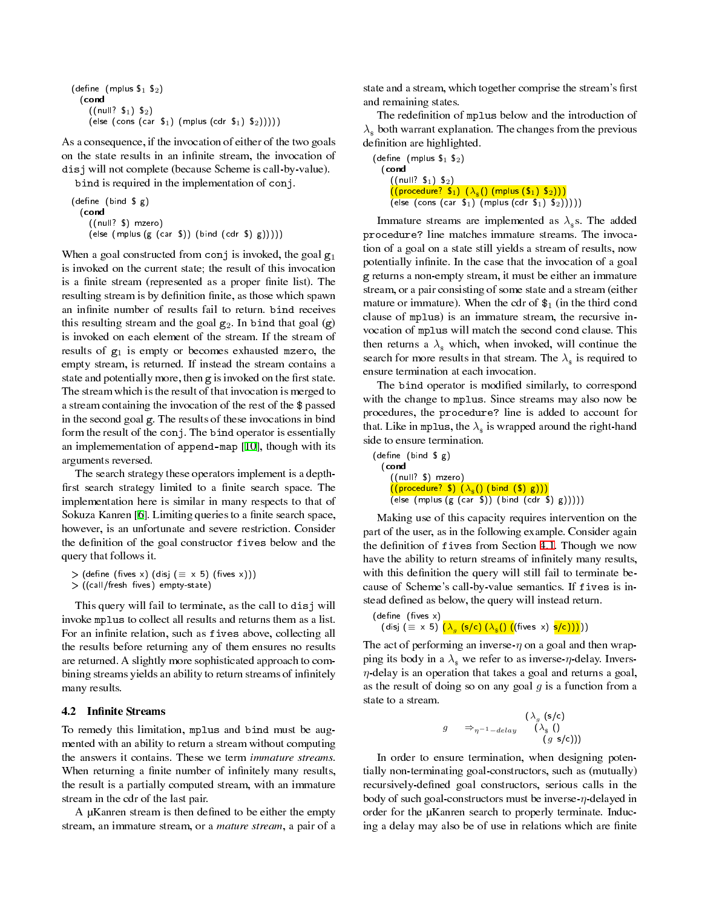```
(define (mplus \mathfrak{s}_1 \mathfrak{s}_2)
   (cond
        ((null? S<sub>1</sub>) S<sub>2</sub>)(else (cons (car \mathfrak{s}_1) (mplus (cdr \mathfrak{s}_1) \mathfrak{s}_2)))))
```
As a consequence, if the invocation of either of the two goals on the state results in an infinite stream, the invocation of disj will not complete (because Scheme is call-by-value).

bind is required in the implementation of conj.

```
(\text{define } (\text{bind } \text{$\mathfrak{S}$ } \text{g})(cond
                            ((null? $) mzero)
                       \left(\begin{matrix} \frac{1}{2} & \frac{1}{2} \\ \frac{1}{2} & \frac{1}{2} \\ \frac{1}{2} & \frac{1}{2} \\ \frac{1}{2} & \frac{1}{2} \\ \frac{1}{2} & \frac{1}{2} \\ \frac{1}{2} & \frac{1}{2} \\ \frac{1}{2} & \frac{1}{2} \\ \frac{1}{2} & \frac{1}{2} \\ \frac{1}{2} & \frac{1}{2} \\ \frac{1}{2} & \frac{1}{2} \\ \frac{1}{2} & \frac{1}{2} \\ \frac{1}{2} & \frac{1}{2} \\ \frac{1}{2} & \frac{1}{2} \\ \frac{1}{
```
When a goal constructed from conj is invoked, the goal  $g_1$ is invoked on the current state; the result of this invocation is a finite stream (represented as a proper finite list). The resulting stream is by definition finite, as those which spawn an infinite number of results fail to return. bind receives this resulting stream and the goal  $g_2$ . In bind that goal  $(g)$ is invoked on each element of the stream. If the stream of results of  $g_1$  is empty or becomes exhausted mzero, the empty stream, is returned. If instead the stream contains a state and potentially more, then g is invoked on the first state. The stream which is the result of that invocation is merged to a stream containing the invocation of the rest of the \$ passed in the second goal g. The results of these invocations in bind form the result of the conj. The bind operator is essentially an implemementation of append-map [[10\]](#page-7-6), though with its arguments reversed.

The search strategy these operators implement is a depth first search strategy limited to a finite search space. The implementation here is similar in many respects to that of Sokuza Kanren [\[6](#page-7-4)]. Limiting queries to a finite search space, however, is an unfortunate and severe restriction. Consider the definition of the goal constructor fives below and the query that follows it.

```
> (define (fives x) (disj (≡ x 5) (fives x)))
```

```
> ((call/fresh fives) empty-state)
```
This query will fail to terminate, as the call to disj will invoke mplus to collect all results and returns them as a list. For an infinite relation, such as fives above, collecting all the results before returning any of them ensures no results are returned. A slightly more sophisticated approach to combining streams yields an ability to return streams of infinitely many results.

#### 4.2 Infinite Streams

To remedy this limitation, mplus and bind must be augmented with an ability to return a stream without computing the answers it contains. These we term immature streams. When returning a finite number of infinitely many results, the result is a partially computed stream, with an immature stream in the cdr of the last pair.

A µKanren stream is then defined to be either the empty stream, an immature stream, or a *mature stream*, a pair of a

state and a stream, which together comprise the stream's first and remaining states.

The redefinition of mplus below and the introduction of  $\lambda_{\rm s}$  both warrant explanation. The changes from the previous definition are highlighted.

|       |                                                                                       | (define (mplus $\$_1$ $\$_2)$             |  |  |  |                                                                                           |  |  |
|-------|---------------------------------------------------------------------------------------|-------------------------------------------|--|--|--|-------------------------------------------------------------------------------------------|--|--|
| (cond |                                                                                       |                                           |  |  |  |                                                                                           |  |  |
|       |                                                                                       | ((null? S <sub>1</sub> ) S <sub>2</sub> ) |  |  |  |                                                                                           |  |  |
|       | $((\text{procedure? } \$_1) \ (\lambda_{\epsilon})) (\text{mplus } (\$_1) \ \$_2))))$ |                                           |  |  |  |                                                                                           |  |  |
|       |                                                                                       |                                           |  |  |  | (else (cons (car $\mathfrak{s}_1$ ) (mplus (cdr $\mathfrak{s}_1$ ) $\mathfrak{s}_2$ ))))) |  |  |

Immature streams are implemented as  $\lambda_s$ s. The added procedure? line matches immature streams. The invocation of a goal on a state still yields a stream of results, now potentially infinite. In the case that the invocation of a goal g returns a non-empty stream, it must be either an immature stream, or a pair consisting of some state and a stream (either mature or immature). When the cdr of  $\mathfrak{s}_1$  (in the third cond clause of mplus) is an immature stream, the recursive invocation of mplus will match the second cond clause. This then returns a  $\lambda_{\rm s}$  which, when invoked, will continue the search for more results in that stream. The  $\lambda_{s}$  is required to ensure termination at each invocation.

The bind operator is modified similarly, to correspond with the change to mplus. Since streams may also now be procedures, the procedure? line is added to account for that. Like in mplus, the  $\lambda_{\text{\tiny{\textbf{S}}}}$  is wrapped around the right-hand side to ensure termination.

 $(\text{define } (\text{bind } \text{ $s$ }))$ (cond ((null? \$) mzero)  $((\text{procedure? }\mathbb{S}) \ (\lambda_{\mathbb{S}})) (\text{bind } (\mathbb{S}) \ \text{g})))$ (else (mplus  $(g (car S)) (bind (cdr S) g))))$ )

Making use of this capacity requires intervention on the part of the user, as in the following example. Consider again the definition of fives from Section [4.1.](#page-2-2) Though we now have the ability to return streams of infinitely many results, with this definition the query will still fail to terminate because of Scheme's call-by-value semantics. If fives is instead defined as below, the query will instead return.

```
(define (fives x))(\textsf{disj} \; (\equiv \; \texttt{x} \; \texttt{5}) \; \overline{(\lambda_g \; (\textsf{s/c}) \; (\lambda_{\texttt{\$}}() \; ((\textsf{fives} \; \texttt{x}) \; \textsf{s/c}))))}))
```
The act of performing an inverse-*η* on a goal and then wrapping its body in a  $\lambda_{\rm s}$  we refer to as inverse- $\eta$ -delay. Invers*η*-delay is an operation that takes a goal and returns a goal, as the result of doing so on any goal *g* is a function from a state to a stream.

$$
g \Rightarrow_{\eta^{-1}-delay} (\lambda_s (s/c))
$$
  
(g s/c))

In order to ensure termination, when designing potentially non-terminating goal-constructors, such as (mutually) recursively-defined goal constructors, serious calls in the body of such goal-constructors must be inverse-*η*-delayed in order for the µKanren search to properly terminate. Inducing a delay may also be of use in relations which are finite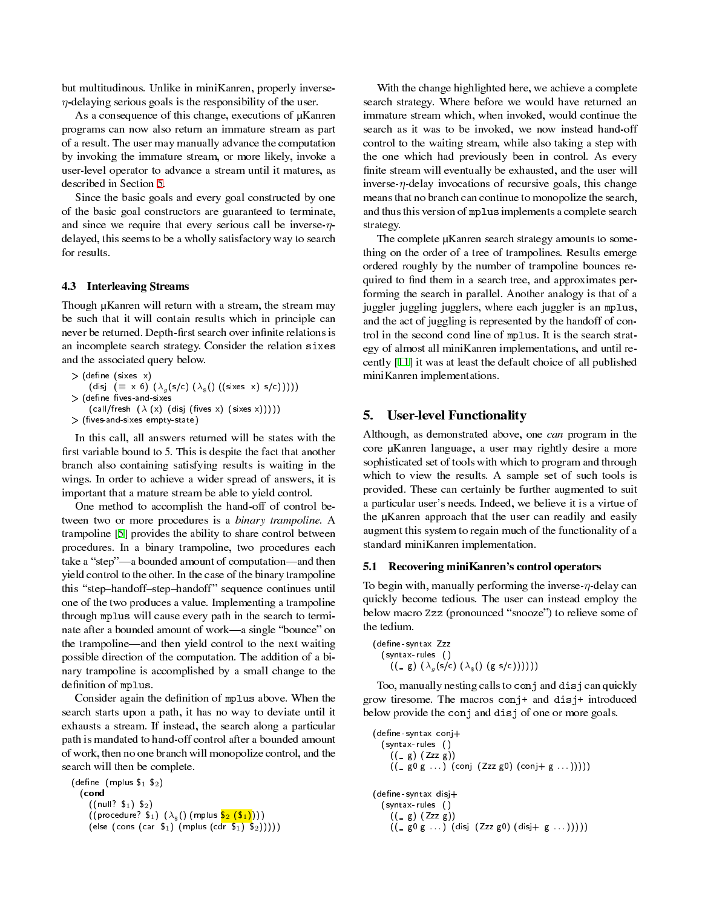but multitudinous. Unlike in miniKanren, properly inverse*η*-delaying serious goals is the responsibility of the user.

As a consequence of this change, executions of  $\mu$ Kanren programs can now also return an immature stream as part of a result. The user may manually advance the computation by invoking the immature stream, or more likely, invoke a user-level operator to advance a stream until it matures, as described in Section [5](#page-4-0).

Since the basic goals and every goal constructed by one of the basic goal constructors are guaranteed to terminate, and since we require that every serious call be inverse-*η*delayed, this seems to be a wholly satisfactory way to search for results.

#### <span id="page-4-1"></span>4.3 Interleaving Streams

Though µKanren will return with a stream, the stream may be such that it will contain results which in principle can never be returned. Depth-first search over infinite relations is an incomplete search strategy. Consider the relation sixes and the associated query below.

 $>$  (define (sixes  $x$ )  $(\mathsf{disj} \ \ (\equiv \ \times \ \ 6 \ \ )\ \ (\lambda_g\,(\mathsf{s/c}) \ \ (\lambda_{\mathsf{s}}\,(\) \ \ ((\mathsf{sixes} \ \ \mathsf{x}) \ \ \mathsf{s/c}))))$ (define fives and sixes  $(call/fresh ( $\lambda$  (x) (disj (fives x) (sixes x))))$  $>$  (fives and-sixes empty-state)

In this call, all answers returned will be states with the first variable bound to 5. This is despite the fact that another branch also containing satisfying results is waiting in the wings. In order to achieve a wider spread of answers, it is important that a mature stream be able to yield control.

One method to accomplish the hand-off of control between two or more procedures is a binary trampoline. A trampoline [\[5](#page-7-7)] provides the ability to share control between procedures. In a binary trampoline, two procedures each take a "step"—a bounded amount of computation—and then yield control to the other. In the case of the binary trampoline this "step-handoff-step-handoff" sequence continues until one of the two produces a value. Implementing a trampoline through mplus will cause every path in the search to terminate after a bounded amount of work—a single "bounce" on the trampoline—and then yield control to the next waiting possible direction of the computation. The addition of a binary trampoline is accomplished by a small change to the definition of mplus.

Consider again the definition of mplus above. When the search starts upon a path, it has no way to deviate until it exhausts a stream. If instead, the search along a particular path is mandated to hand-off control after a bounded amount of work, then no one branch will monopolize control, and the search will then be complete.

```
(define (mplus \mathfrak{s}_1 \mathfrak{s}_2)
    (cond
         ((null? S<sub>1</sub>) S<sub>2</sub>)((\text{procedure? } \mathsf{S}_1) \; (\lambda_\$() \; (\text{mplus} \; \mathsf{S}_2 \; (\mathsf{S}_1))))(else (cons (car \mathfrak{s}_1) (mplus (cdr \mathfrak{s}_1) \mathfrak{s}_2)))))
```
With the change highlighted here, we achieve a complete search strategy. Where before we would have returned an immature stream which, when invoked, would continue the search as it was to be invoked, we now instead hand-off control to the waiting stream, while also taking a step with the one which had previously been in control. As every finite stream will eventually be exhausted, and the user will inverse- $\eta$ -delay invocations of recursive goals, this change means that no branch can continue to monopolize the search, and thus this version of mplus implements a complete search strategy.

The complete µKanren search strategy amounts to something on the order of a tree of trampolines. Results emerge ordered roughly by the number of trampoline bounces required to find them in a search tree, and approximates performing the search in parallel. Another analogy is that of a juggler juggling jugglers, where each juggler is an mplus, and the act of juggling is represented by the handoff of control in the second cond line of mplus. It is the search strategy of almost all miniKanren implementations, and until recently [\[11](#page-7-8)] it was at least the default choice of all published miniKanren implementations.

# <span id="page-4-0"></span>5. User-level Functionality

Although, as demonstrated above, one can program in the core µKanren language, a user may rightly desire a more sophisticated set of tools with which to program and through which to view the results. A sample set of such tools is provided. These can certainly be further augmented to suit a particular user's needs. Indeed, we believe it is a virtue of the µKanren approach that the user can readily and easily augment this system to regain much of the functionality of a standard miniKanren implementation.

#### 5.1 Recovering miniKanren's control operators

To begin with, manually performing the inverse-*η*-delay can quickly become tedious. The user can instead employ the below macro Zzz (pronounced "snooze") to relieve some of the tedium.

```
(define-syntax Zzz
  (syntax- rules ()
     ((\Box g) (\lambda_g(s/c) (\lambda_g() (g s/c))))
```
Too, manually nesting calls to conj and disj can quickly grow tiresome. The macros conj+ and disj+ introduced below provide the conj and disj of one or more goals.

```
(define-syntax conj+(syntax- rules ()
    ((\_ g) (Zzz g))((\text{sgn } n, n) (conj (Zzz g0) (conj (g n, n, n))))
(define-syntax disj+(syntax- rules ()
    ((g) (Zzz g))((_ g0 g . . . ) (disj (Zzz g0) (disj+ g . . . )))))
```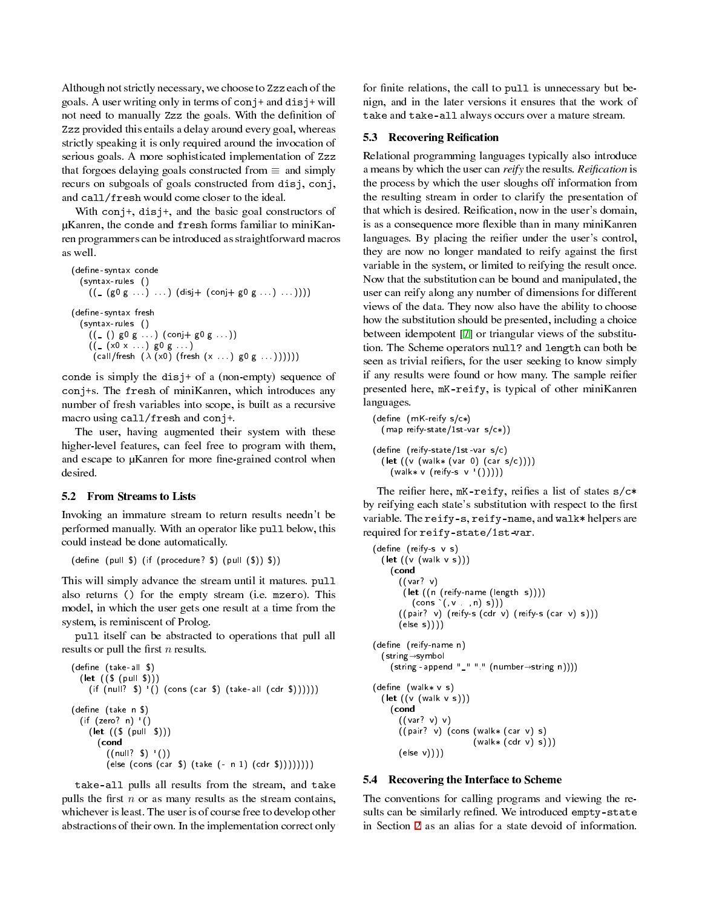Although not strictly necessary, we choose to Zzz each of the goals. A user writing only in terms of  $\text{conj+}$  and  $\text{disj+}$  will not need to manually Zzz the goals. With the definition of Zzz provided this entails a delay around every goal, whereas strictly speaking it is only required around the invocation of serious goals. A more sophisticated implementation of Zzz that forgoes delaying goals constructed from *≡* and simply recurs on subgoals of goals constructed from disj, conj, and call/fresh would come closer to the ideal.

With conj+, disj+, and the basic goal constructors of µKanren, the conde and fresh forms familiar to miniKanren programmers can be introduced as straightforward macros as well.

```
(define-syntax conde
  (syntax- rules ()
     ((\text{ [g0 g ...)}, \text{ ...}) (\text{disj} + (\text{conj} + \text{g0 g ...}), \text{ ...})))(define-syntax fresh
  (syntax- rules ()
     ((_ () g0 g . . . ) (conj+ g0 g . . . ))
     ((_ (x0 x . . . ) g0 g . . . )
       (call/fresh (λ (x0) (fresh (x . . . ) g0 g . . . ))))))
```
conde is simply the disj+ of a (non-empty) sequence of conj+s. The fresh of miniKanren, which introduces any number of fresh variables into scope, is built as a recursive macro using call/fresh and conj+.

The user, having augmented their system with these higher-level features, can feel free to program with them, and escape to µKanren for more fine-grained control when desired.

### 5.2 From Streams to Lists

Invoking an immature stream to return results needn't be performed manually. With an operator like pull below, this could instead be done automatically.

 $(\text{define } (\text{pull } $) (\text{if } (\text{procedure? } $) (\text{pull } ($) ) $))$ 

This will simply advance the stream until it matures. pull also returns () for the empty stream (i.e. mzero). This model, in which the user gets one result at a time from the system, is reminiscent of Prolog.

pull itself can be abstracted to operations that pull all results or pull the first *n* results.

```
(define (take-all $)
   (let ((\S (pull \S)))
      (if (null? \mathcal{S}) '() (cons (car \mathcal{S}) (take-all (cdr \mathcal{S}))))))
(define (take n $)
   (if (zero? n) ()
      (\text{let } ((\text{S } (\text{pull } \text{S})))(cond
             ((null? \ S) '()
             \left( else \left( cons \left( car \{S}\right) \left( take \left( - n 1\right) \left( cdr \{S}\right)\left()\right)))))))
```
take-all pulls all results from the stream, and take pulls the first  $n$  or as many results as the stream contains, whichever is least. The user is of course free to develop other abstractions of their own. In the implementation correct only

for finite relations, the call to pull is unnecessary but benign, and in the later versions it ensures that the work of take and take-all always occurs over a mature stream.

#### 5.3 Recovering Reification

Relational programming languages typically also introduce a means by which the user can reify the results. Reification is the process by which the user sloughs off information from the resulting stream in order to clarify the presentation of that which is desired. Reification, now in the user's domain, is as a consequence more flexible than in many miniKanren languages. By placing the reifier under the user's control, they are now no longer mandated to reify against the first variable in the system, or limited to reifying the result once. Now that the substitution can be bound and manipulated, the user can reify along any number of dimensions for different views of the data. They now also have the ability to choose how the substitution should be presented, including a choice between idempotent [[7](#page-7-9)] or triangular views of the substitution. The Scheme operators null? and length can both be seen as trivial reifiers, for the user seeking to know simply if any results were found or how many. The sample reifier presented here, mK-reify, is typical of other miniKanren languages.

 $(\text{define } (mK\text{-}reify s/c*)$ (map reify-state/1st-var s/c\*))  $(define (reify-state/1st -var s/c))$ (let  $((v (walk* (var 0) (car s/c))))$  $(wa\&x v (reify-s v'()))))$ 

The reifier here, mK-reify, reifies a list of states s/c\* by reifying each state's substitution with respect to the first variable. The reify-s, reify-name, and walk\* helpers are required for reify-state/1st-var.

```
(define (reify-s v s)
  (let ((v (walk v s)))(cond
       ((var? v)
        (let ((n (reify-name (length s))))
          (cons '(, v , n) s)))((pair? v) (reify-s (cdr v) (reify-s (car v) s)))(else s))))
(define (reify-name n)
  (\text{string} \rightarrow \text{symbol}(\text{string - append }\text{''}\text{'''''' (number \rightarrow string n)}))(define (walk v s)
  (\textsf{let } ((v (walk v s)))(cond
       ((var? v) v)
       ((pair? v) (cons (walk* (car v) s)
                            (walk* (cdr v) s)))(else v))))
```
#### 5.4 Recovering the Interface to Scheme

The conventions for calling programs and viewing the results can be similarly refined. We introduced empty-state in Section [2](#page-0-0) as an alias for a state devoid of information.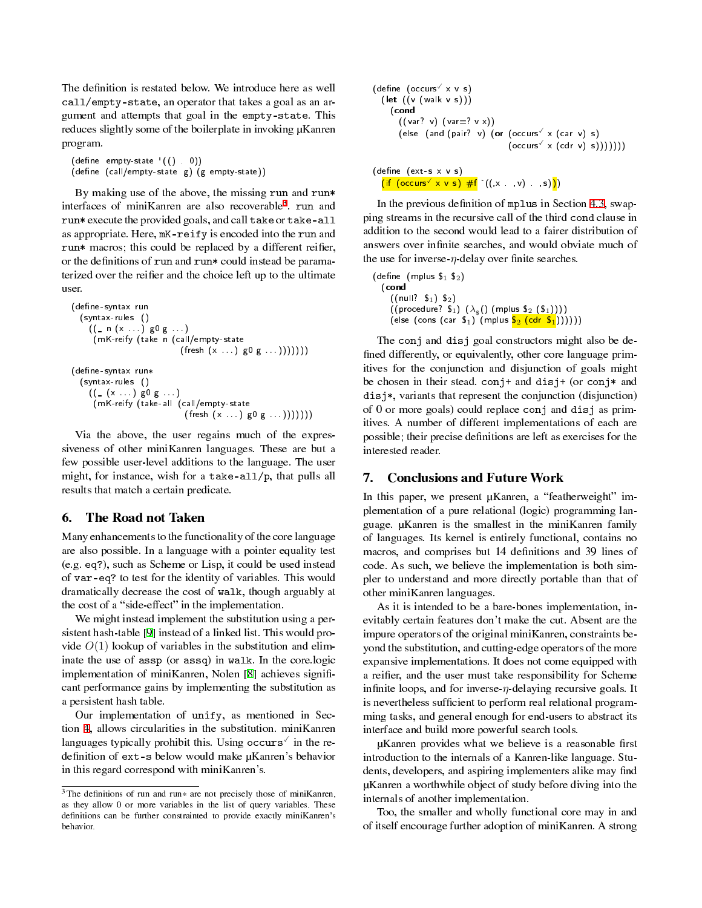The definition is restated below. We introduce here as well call/empty-state, an operator that takes a goal as an argument and attempts that goal in the empty-state. This reduces slightly some of the boilerplate in invoking  $\mu$ Kanren program.

```
(\text{define empty-state } (() \t 0))(define (call/empty-state g) (g empty-state))
```
By making use of the above, the missing run and run\* interfaces of miniKanren are also recoverable[3](#page-6-0) . run and run\* execute the provided goals, and call take or take-all as appropriate. Here, mK-reify is encoded into the run and run\* macros; this could be replaced by a different reifier, or the definitions of run and run\* could instead be paramaterized over the reifier and the choice left up to the ultimate user.

```
(define-syntax run
  (syntax- rules ()
    ((_ n (x . . . ) g0 g . . . )
      (mK-reify (take n (call/empty- state
                            (fresh (x . . . ) g0 g . . . )))))))
(define-syntax run*
  (syntax- rules ()
    ((_ (x . . . ) g0 g . . . )
      (mK-reify (take- all (call/empty- state
                              (fresh (x . . . ) g0 g . . . )))))))
```
Via the above, the user regains much of the expressiveness of other miniKanren languages. These are but a few possible user-level additions to the language. The user might, for instance, wish for a take-all/p, that pulls all results that match a certain predicate.

# 6. The Road not Taken

Many enhancements to the functionality of the core language are also possible. In a language with a pointer equality test (e.g. eq?), such as Scheme or Lisp, it could be used instead of var-eq? to test for the identity of variables. This would dramatically decrease the cost of walk, though arguably at the cost of a "side-effect" in the implementation.

We might instead implement the substitution using a persistent hash-table [\[9](#page-7-10)] instead of a linked list. This would provide  $O(1)$  lookup of variables in the substitution and eliminate the use of assp (or assq) in walk. In the core.logic implementation of miniKanren, Nolen [[8\]](#page-7-11) achieves significant performance gains by implementing the substitution as a persistent hash table.

Our implementation of unify, as mentioned in Section [4](#page-2-3), allows circularities in the substitution. miniKanren languages typically prohibit this. Using occurs in the redefinition of ext-s below would make µKanren's behavior in this regard correspond with miniKanren's.

```
(define (occurs \times v s)
  (let ((v (walk v s)))(cond
        ((var? v) (var=? v x))(else (and (pair? v) (or (occurs \times (car v) s)
                                           (occurs' \times (cdr v) s))))))(define (ext-s x \vee s)
   (\text{if } (\text{occurs} \text{ or } x \text{ v s}) \# \text{f} \text{ }^{\backprime}((,x, \dots, v), s))).
```
In the previous definition of mplus in Section [4.3](#page-4-1), swapping streams in the recursive call of the third cond clause in addition to the second would lead to a fairer distribution of answers over infinite searches, and would obviate much of the use for inverse- $\eta$ -delay over finite searches.

```
(\text{define } (mplus \$_1 \$_2)(cond
        ((null? 5<sub>1</sub>) 5<sub>2</sub>)((\text{procedure? } \mathsf{S}_1) \; (\lambda_{\hat{\mathbb{S}}}) \; (\text{mplus } \mathsf{S}_2 \; (\mathsf{S}_1))))(else (cons (car \mathfrak{s}_1) (mplus \mathfrak{s}_2 (cdr \mathfrak{s}_1)))))))
```
The conj and disj goal constructors might also be de fined differently, or equivalently, other core language primitives for the conjunction and disjunction of goals might be chosen in their stead.  $\text{conj+}$  and disj+ (or conj\* and disj\*, variants that represent the conjunction (disjunction) of 0 or more goals) could replace conj and disj as primitives. A number of different implementations of each are possible; their precise definitions are left as exercises for the interested reader.

### 7. Conclusions and Future Work

In this paper, we present  $\mu$ Kanren, a "featherweight" implementation of a pure relational (logic) programming language. µKanren is the smallest in the miniKanren family of languages. Its kernel is entirely functional, contains no macros, and comprises but 14 definitions and 39 lines of code. As such, we believe the implementation is both simpler to understand and more directly portable than that of other miniKanren languages.

As it is intended to be a bare-bones implementation, inevitably certain features don't make the cut. Absent are the impure operators of the original miniKanren, constraints beyond the substitution, and cutting-edge operators of the more expansive implementations. It does not come equipped with a reifier, and the user must take responsibility for Scheme infinite loops, and for inverse-η-delaying recursive goals. It is nevertheless sufficient to perform real relational programming tasks, and general enough for end-users to abstract its interface and build more powerful search tools.

µKanren provides what we believe is a reasonable first introduction to the internals of a Kanren-like language. Students, developers, and aspiring implementers alike may find µKanren a worthwhile object of study before diving into the internals of another implementation.

Too, the smaller and wholly functional core may in and of itself encourage further adoption of miniKanren. A strong

<span id="page-6-0"></span><sup>&</sup>lt;sup>3</sup> The definitions of run and run\* are not precisely those of miniKanren, as they allow 0 or more variables in the list of query variables. These definitions can be further constrainted to provide exactly miniKanren's behavior.